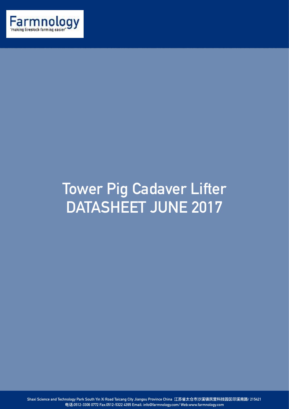

## **Tower Pig Cadaver Lifter DATASHEET JUNE 2017**

**Shaxi Science and Technology Park South Yin Xi Road Taicang City Jiangsu Province China 江苏省太仓市沙溪镇⺠营科技园区印溪南路/ 215421 电话:0512-3306 0772 Fax:0512-5322 4395 Email: info@farmnology.com/ Web:www.farmnology.com**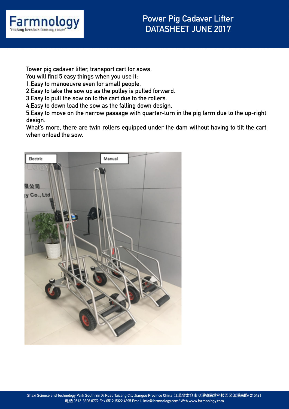

**Tower pig cadaver lifter, transport cart for sows.** 

**You will find 5 easy things when you use it:** 

**1.Easy to manoeuvre even for small people.** 

**2.Easy to take the sow up as the pulley is pulled forward.** 

**3.Easy to pull the sow on to the cart due to the rollers.** 

**4.Easy to down load the sow as the falling down design.** 

**5.Easy to move on the narrow passage with quarter-turn in the pig farm due to the up-right design.** 

**What's more, there are twin rollers equipped under the dam without having to tilt the cart when onload the sow.**